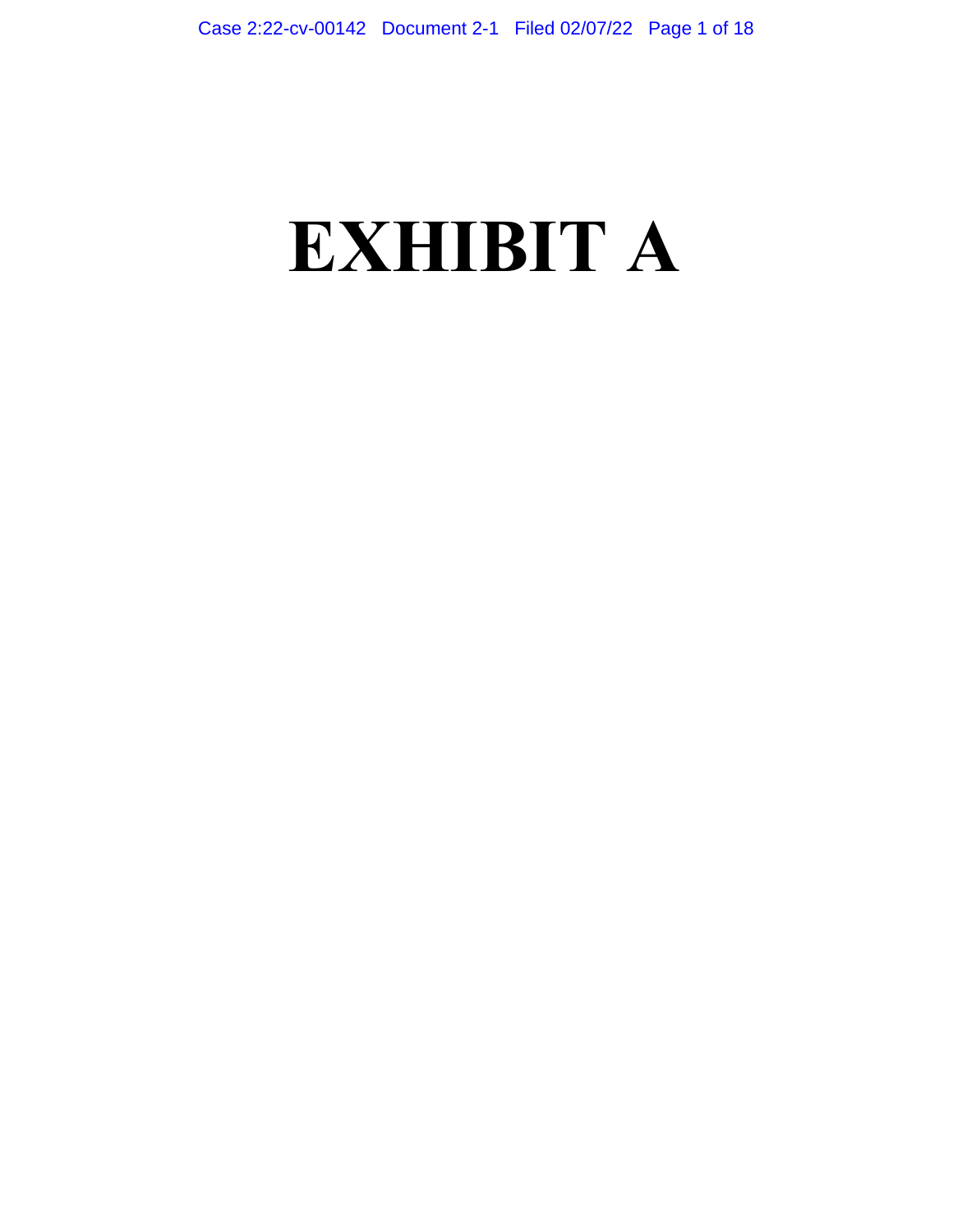# **EXHIBIT A**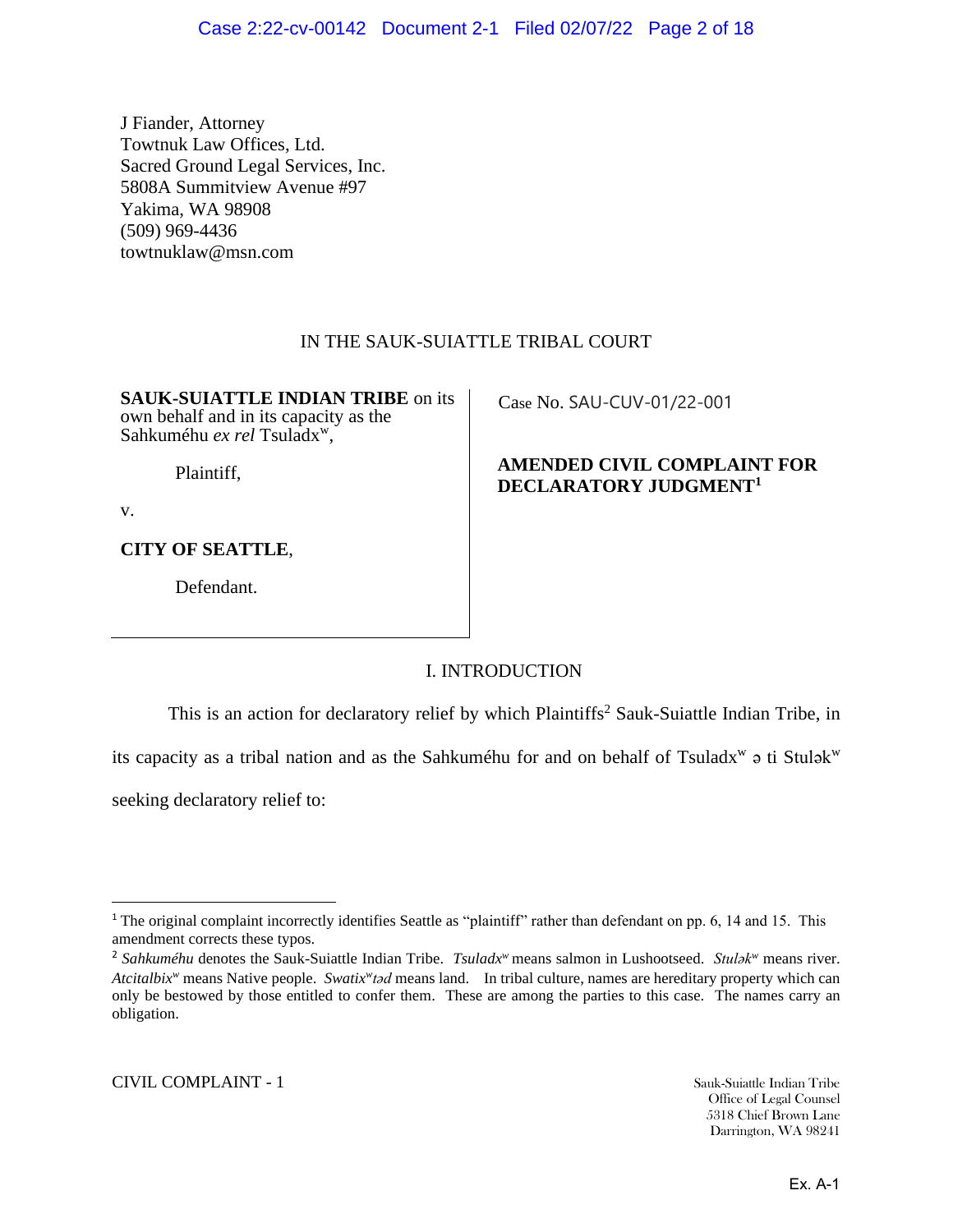J Fiander, Attorney Towtnuk Law Offices, Ltd. Sacred Ground Legal Services, Inc. 5808A Summitview Avenue #97 Yakima, WA 98908 (509) 969-4436 towtnuklaw@msn.com

# IN THE SAUK-SUIATTLE TRIBAL COURT

**SAUK-SUIATTLE INDIAN TRIBE** on its own behalf and in its capacity as the Sahkuméhu ex rel Tsuladx<sup>w</sup>,

Plaintiff,

v.

**CITY OF SEATTLE**,

Defendant.

Case No. SAU-CUV-01/22-001

# **AMENDED CIVIL COMPLAINT FOR DECLARATORY JUDGMENT<sup>1</sup>**

# I. INTRODUCTION

This is an action for declaratory relief by which Plaintiffs<sup>2</sup> Sauk-Suiattle Indian Tribe, in

its capacity as a tribal nation and as the Sahkuméhu for and on behalf of Tsuladx<sup>w</sup> a ti Stulak<sup>w</sup>

seeking declaratory relief to:

<sup>&</sup>lt;sup>1</sup> The original complaint incorrectly identifies Seattle as "plaintiff" rather than defendant on pp. 6, 14 and 15. This amendment corrects these typos.

<sup>2</sup> *Sahkuméhu* denotes the Sauk-Suiattle Indian Tribe. *Tsuladx<sup>w</sup>* means salmon in Lushootseed. *Stulǝk<sup>w</sup>* means river. *Atcitalbix<sup>w</sup>* means Native people. *Swatix<sup>w</sup>tad* means land. In tribal culture, names are hereditary property which can only be bestowed by those entitled to confer them. These are among the parties to this case. The names carry an obligation.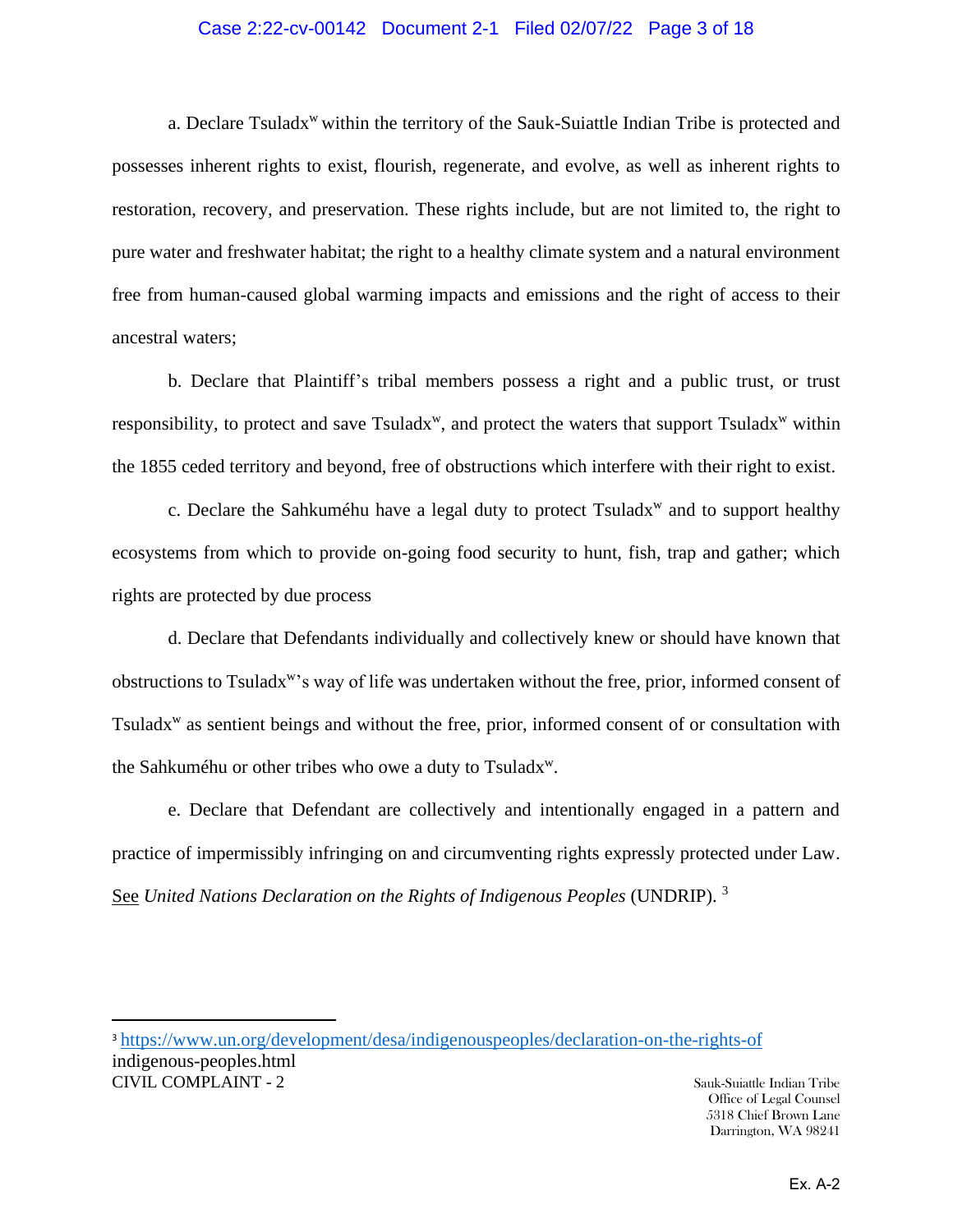#### Case 2:22-cv-00142 Document 2-1 Filed 02/07/22 Page 3 of 18

a. Declare Tsuladx<sup>w</sup> within the territory of the Sauk-Suiattle Indian Tribe is protected and possesses inherent rights to exist, flourish, regenerate, and evolve, as well as inherent rights to restoration, recovery, and preservation. These rights include, but are not limited to, the right to pure water and freshwater habitat; the right to a healthy climate system and a natural environment free from human-caused global warming impacts and emissions and the right of access to their ancestral waters;

b. Declare that Plaintiff's tribal members possess a right and a public trust, or trust responsibility, to protect and save Tsuladx<sup>w</sup>, and protect the waters that support Tsuladx<sup>w</sup> within the 1855 ceded territory and beyond, free of obstructions which interfere with their right to exist.

c. Declare the Sahkuméhu have a legal duty to protect Tsuladx<sup>w</sup> and to support healthy ecosystems from which to provide on-going food security to hunt, fish, trap and gather; which rights are protected by due process

d. Declare that Defendants individually and collectively knew or should have known that obstructions to Tsuladx<sup>w</sup>'s way of life was undertaken without the free, prior, informed consent of Tsuladx<sup>w</sup> as sentient beings and without the free, prior, informed consent of or consultation with the Sahkuméhu or other tribes who owe a duty to Tsuladx<sup>w</sup>.

e. Declare that Defendant are collectively and intentionally engaged in a pattern and practice of impermissibly infringing on and circumventing rights expressly protected under Law. See *United Nations Declaration on the Rights of Indigenous Peoples* (UNDRIP). 3

CIVIL COMPLAINT - 2 Sauk-Suiattle Indian Tribe <sup>3</sup> <https://www.un.org/development/desa/indigenouspeoples/declaration-on-the-rights-of> indigenous-peoples.html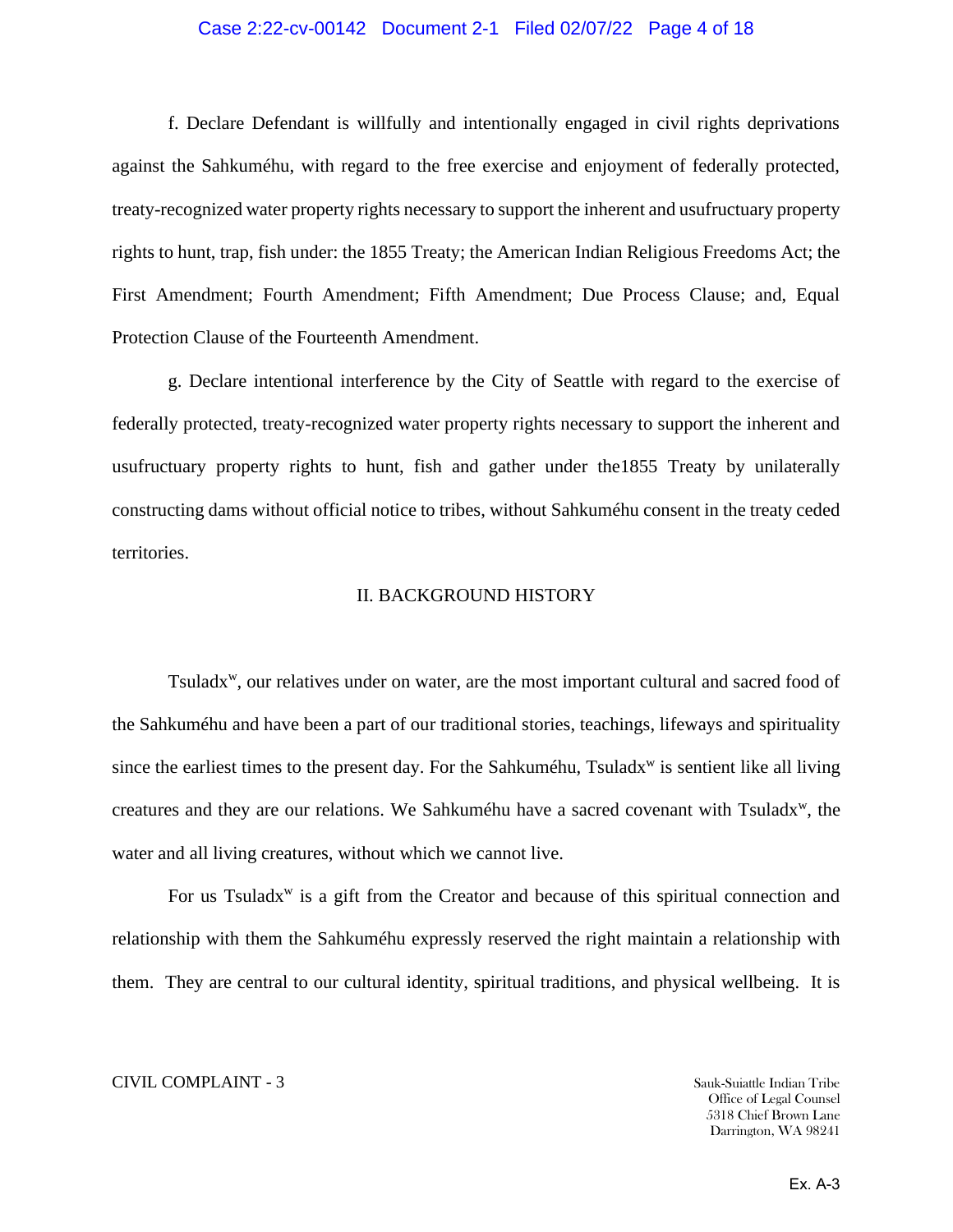#### Case 2:22-cv-00142 Document 2-1 Filed 02/07/22 Page 4 of 18

f. Declare Defendant is willfully and intentionally engaged in civil rights deprivations against the Sahkuméhu, with regard to the free exercise and enjoyment of federally protected, treaty-recognized water property rights necessary to support the inherent and usufructuary property rights to hunt, trap, fish under: the 1855 Treaty; the American Indian Religious Freedoms Act; the First Amendment; Fourth Amendment; Fifth Amendment; Due Process Clause; and, Equal Protection Clause of the Fourteenth Amendment.

g. Declare intentional interference by the City of Seattle with regard to the exercise of federally protected, treaty-recognized water property rights necessary to support the inherent and usufructuary property rights to hunt, fish and gather under the1855 Treaty by unilaterally constructing dams without official notice to tribes, without Sahkuméhu consent in the treaty ceded territories.

#### II. BACKGROUND HISTORY

Tsuladx<sup>w</sup>, our relatives under on water, are the most important cultural and sacred food of the Sahkuméhu and have been a part of our traditional stories, teachings, lifeways and spirituality since the earliest times to the present day. For the Sahkuméhu, Tsuladx<sup>w</sup> is sentient like all living creatures and they are our relations. We Sahkuméhu have a sacred covenant with Tsuladx<sup>w</sup>, the water and all living creatures, without which we cannot live.

For us Tsuladx<sup>w</sup> is a gift from the Creator and because of this spiritual connection and relationship with them the Sahkuméhu expressly reserved the right maintain a relationship with them. They are central to our cultural identity, spiritual traditions, and physical wellbeing. It is

#### CIVIL COMPLAINT - 3 Sauk-Suiattle Indian Tribe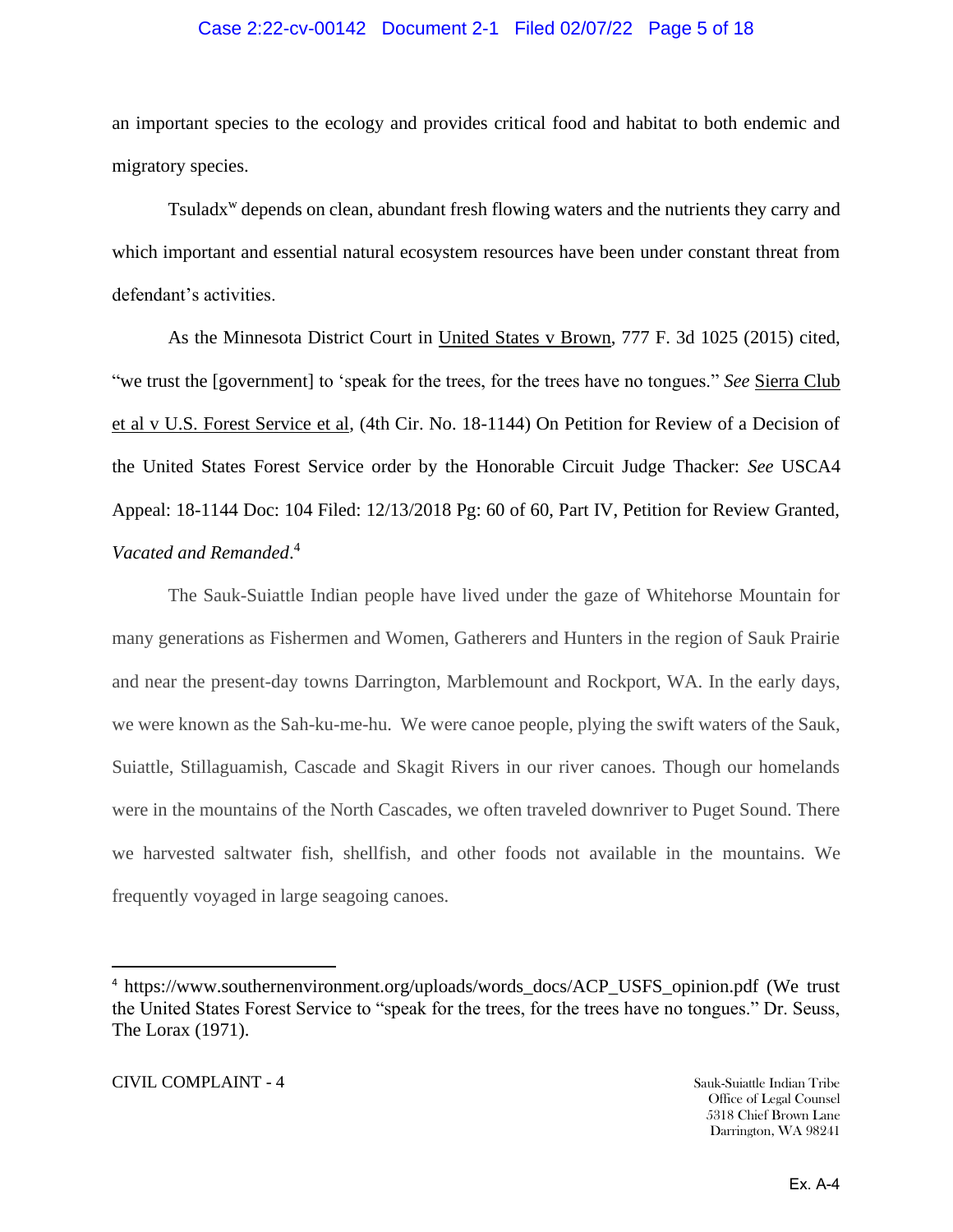#### Case 2:22-cv-00142 Document 2-1 Filed 02/07/22 Page 5 of 18

an important species to the ecology and provides critical food and habitat to both endemic and migratory species.

Tsuladx<sup>w</sup> depends on clean, abundant fresh flowing waters and the nutrients they carry and which important and essential natural ecosystem resources have been under constant threat from defendant's activities.

As the Minnesota District Court in United States v Brown, 777 F. 3d 1025 (2015) cited, "we trust the [government] to 'speak for the trees, for the trees have no tongues." *See* Sierra Club et al v U.S. Forest Service et al, (4th Cir. No. 18-1144) On Petition for Review of a Decision of the United States Forest Service order by the Honorable Circuit Judge Thacker: *See* USCA4 Appeal: 18-1144 Doc: 104 Filed: 12/13/2018 Pg: 60 of 60, Part IV, Petition for Review Granted, *Vacated and Remanded*. 4

The Sauk-Suiattle Indian people have lived under the gaze of Whitehorse Mountain for many generations as Fishermen and Women, Gatherers and Hunters in the region of Sauk Prairie and near the present-day towns Darrington, Marblemount and Rockport, WA. In the early days, we were known as the Sah-ku-me-hu. We were canoe people, plying the swift waters of the Sauk, Suiattle, Stillaguamish, Cascade and Skagit Rivers in our river canoes. Though our homelands were in the mountains of the North Cascades, we often traveled downriver to Puget Sound. There we harvested saltwater fish, shellfish, and other foods not available in the mountains. We frequently voyaged in large seagoing canoes.

<sup>4</sup> https://www.southernenvironment.org/uploads/words\_docs/ACP\_USFS\_opinion.pdf (We trust the United States Forest Service to "speak for the trees, for the trees have no tongues." Dr. Seuss, The Lorax (1971).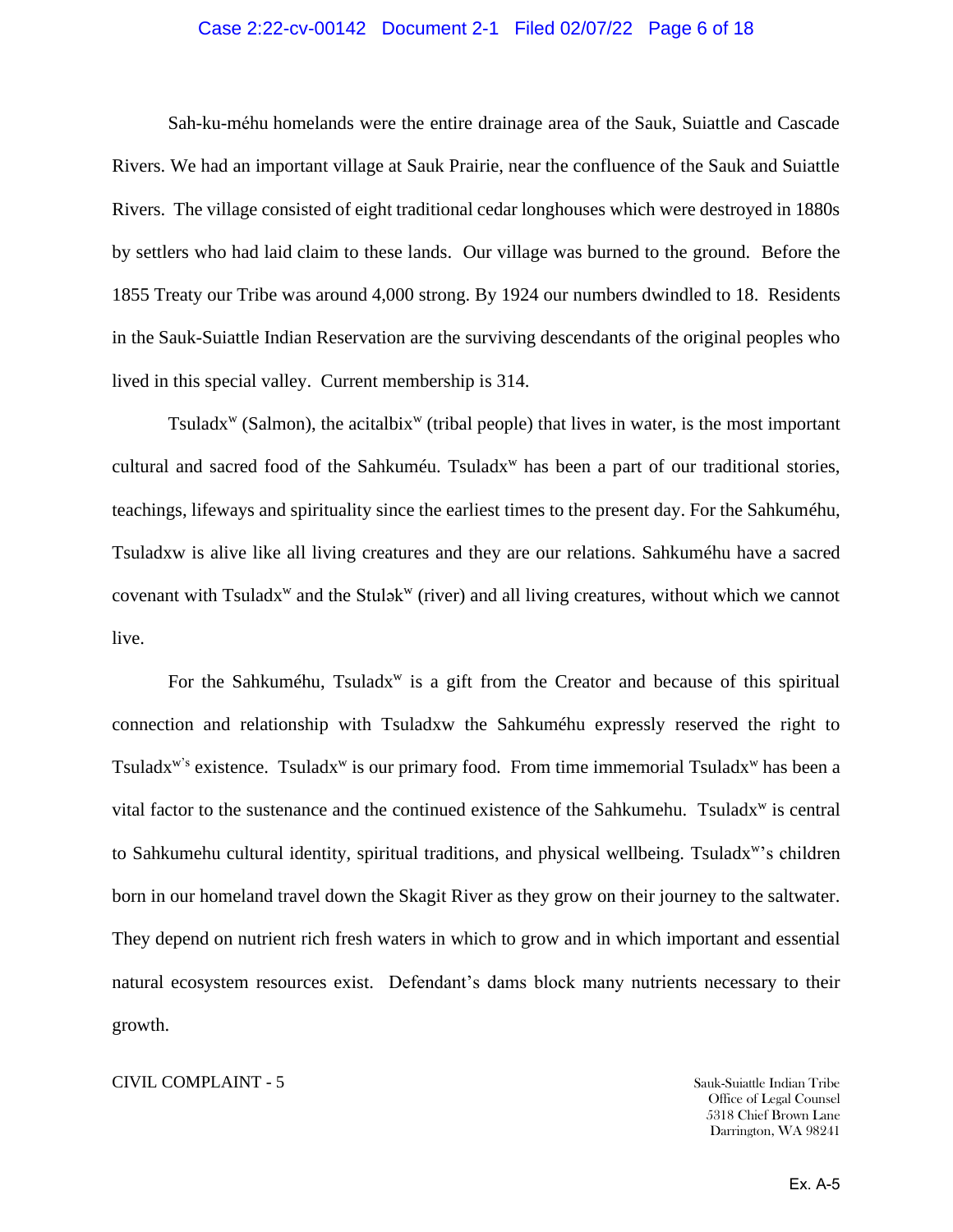#### Case 2:22-cv-00142 Document 2-1 Filed 02/07/22 Page 6 of 18

Sah-ku-méhu homelands were the entire drainage area of the Sauk, Suiattle and Cascade Rivers. We had an important village at Sauk Prairie, near the confluence of the Sauk and Suiattle Rivers. The village consisted of eight traditional cedar longhouses which were destroyed in 1880s by settlers who had laid claim to these lands. Our village was burned to the ground. Before the 1855 Treaty our Tribe was around 4,000 strong. By 1924 our numbers dwindled to 18. Residents in the Sauk-Suiattle Indian Reservation are the surviving descendants of the original peoples who lived in this special valley. Current membership is 314.

Tsuladx<sup>w</sup> (Salmon), the acitalbix<sup>w</sup> (tribal people) that lives in water, is the most important cultural and sacred food of the Sahkuméu. Tsuladx<sup>w</sup> has been a part of our traditional stories, teachings, lifeways and spirituality since the earliest times to the present day. For the Sahkuméhu, Tsuladxw is alive like all living creatures and they are our relations. Sahkuméhu have a sacred covenant with Tsuladx<sup>w</sup> and the Stulǝk<sup>w</sup> (river) and all living creatures, without which we cannot live.

For the Sahkuméhu, Tsuladx<sup>w</sup> is a gift from the Creator and because of this spiritual connection and relationship with Tsuladxw the Sahkuméhu expressly reserved the right to Tsuladx<sup>w's</sup> existence. Tsuladx<sup>w</sup> is our primary food. From time immemorial Tsuladx<sup>w</sup> has been a vital factor to the sustenance and the continued existence of the Sahkumehu. Tsuladx<sup>w</sup> is central to Sahkumehu cultural identity, spiritual traditions, and physical wellbeing. Tsuladx<sup>w</sup>'s children born in our homeland travel down the Skagit River as they grow on their journey to the saltwater. They depend on nutrient rich fresh waters in which to grow and in which important and essential natural ecosystem resources exist. Defendant's dams block many nutrients necessary to their growth.

#### CIVIL COMPLAINT - 5 Sauk-Suiattle Indian Tribe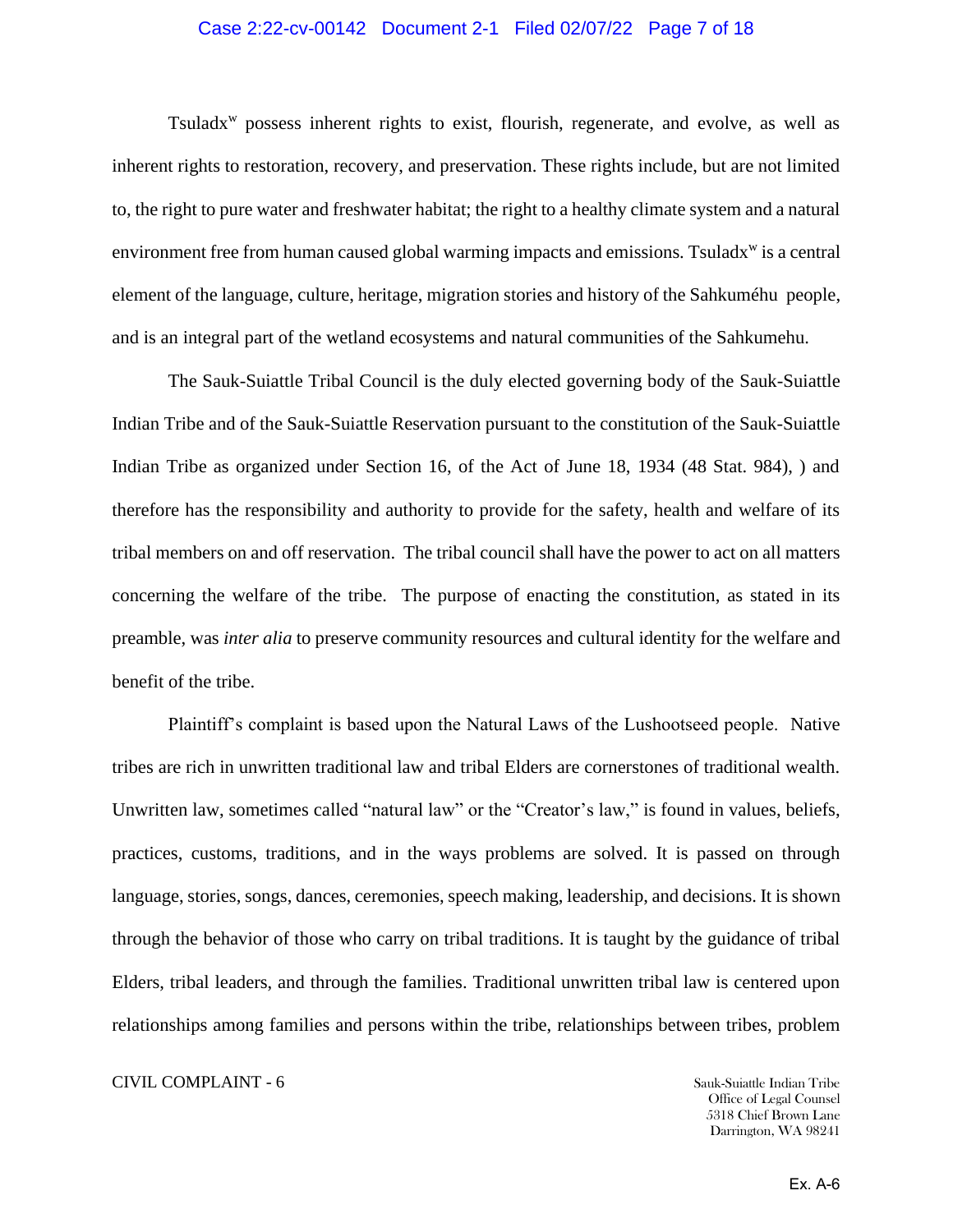#### Case 2:22-cv-00142 Document 2-1 Filed 02/07/22 Page 7 of 18

Tsuladx<sup>w</sup> possess inherent rights to exist, flourish, regenerate, and evolve, as well as inherent rights to restoration, recovery, and preservation. These rights include, but are not limited to, the right to pure water and freshwater habitat; the right to a healthy climate system and a natural environment free from human caused global warming impacts and emissions. Tsuladx<sup>w</sup> is a central element of the language, culture, heritage, migration stories and history of the Sahkuméhu people, and is an integral part of the wetland ecosystems and natural communities of the Sahkumehu.

The Sauk-Suiattle Tribal Council is the duly elected governing body of the Sauk-Suiattle Indian Tribe and of the Sauk-Suiattle Reservation pursuant to the constitution of the Sauk-Suiattle Indian Tribe as organized under Section 16, of the Act of June 18, 1934 (48 Stat. 984), ) and therefore has the responsibility and authority to provide for the safety, health and welfare of its tribal members on and off reservation. The tribal council shall have the power to act on all matters concerning the welfare of the tribe. The purpose of enacting the constitution, as stated in its preamble, was *inter alia* to preserve community resources and cultural identity for the welfare and benefit of the tribe.

Plaintiff's complaint is based upon the Natural Laws of the Lushootseed people. Native tribes are rich in unwritten traditional law and tribal Elders are cornerstones of traditional wealth. Unwritten law, sometimes called "natural law" or the "Creator's law," is found in values, beliefs, practices, customs, traditions, and in the ways problems are solved. It is passed on through language, stories, songs, dances, ceremonies, speech making, leadership, and decisions. It is shown through the behavior of those who carry on tribal traditions. It is taught by the guidance of tribal Elders, tribal leaders, and through the families. Traditional unwritten tribal law is centered upon relationships among families and persons within the tribe, relationships between tribes, problem

CIVIL COMPLAINT - 6 Sauk-Suiattle Indian Tribe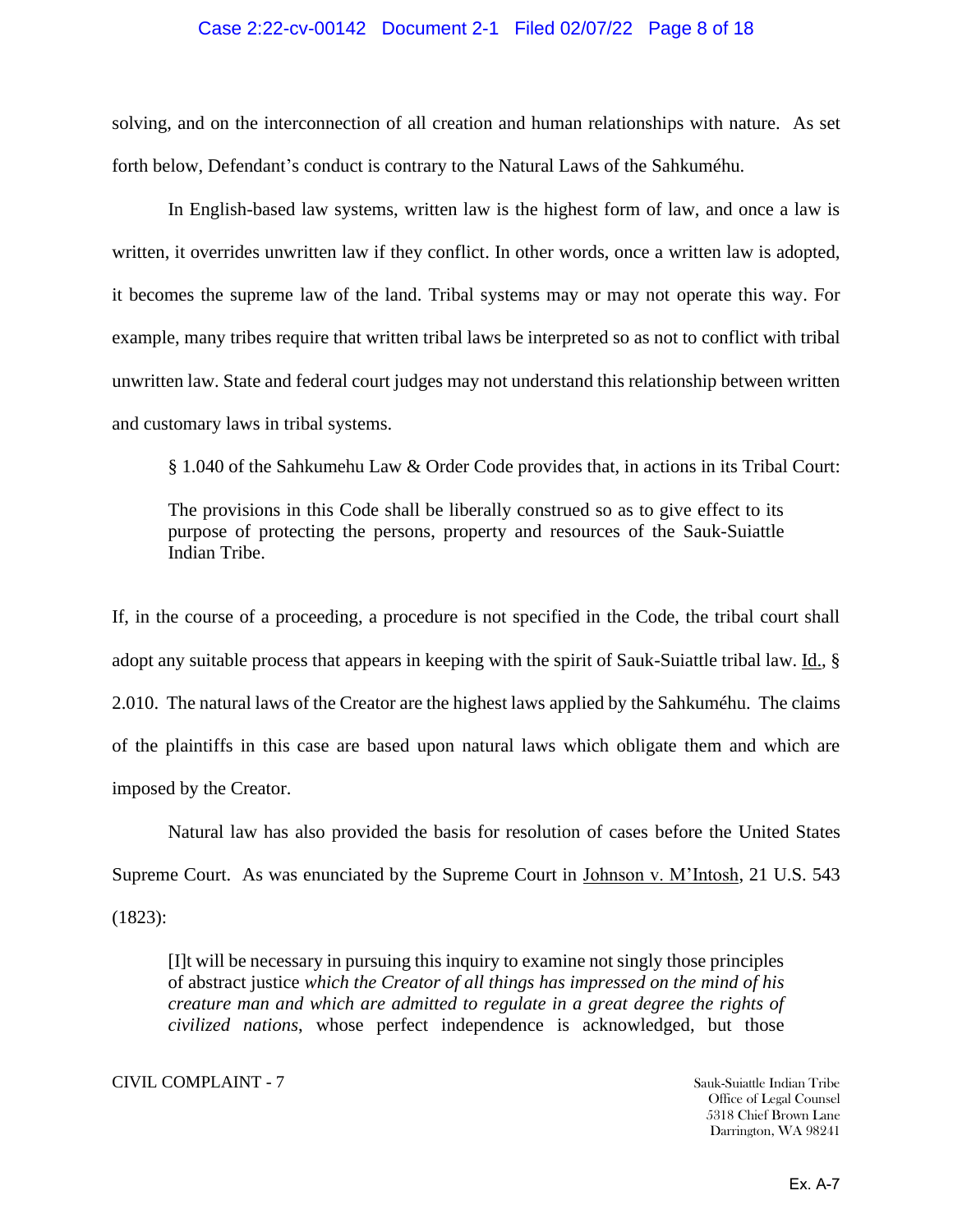#### Case 2:22-cv-00142 Document 2-1 Filed 02/07/22 Page 8 of 18

solving, and on the interconnection of all creation and human relationships with nature. As set forth below, Defendant's conduct is contrary to the Natural Laws of the Sahkuméhu.

In English-based law systems, written law is the highest form of law, and once a law is written, it overrides unwritten law if they conflict. In other words, once a written law is adopted, it becomes the supreme law of the land. Tribal systems may or may not operate this way. For example, many tribes require that written tribal laws be interpreted so as not to conflict with tribal unwritten law. State and federal court judges may not understand this relationship between written and customary laws in tribal systems.

§ 1.040 of the Sahkumehu Law & Order Code provides that, in actions in its Tribal Court:

The provisions in this Code shall be liberally construed so as to give effect to its purpose of protecting the persons, property and resources of the Sauk-Suiattle Indian Tribe.

If, in the course of a proceeding, a procedure is not specified in the Code, the tribal court shall adopt any suitable process that appears in keeping with the spirit of Sauk-Suiattle tribal law. Id., § 2.010. The natural laws of the Creator are the highest laws applied by the Sahkuméhu. The claims of the plaintiffs in this case are based upon natural laws which obligate them and which are imposed by the Creator.

Natural law has also provided the basis for resolution of cases before the United States Supreme Court. As was enunciated by the Supreme Court in Johnson v. M'Intosh, 21 U.S. 543 (1823):

[I]t will be necessary in pursuing this inquiry to examine not singly those principles of abstract justice *which the Creator of all things has impressed on the mind of his creature man and which are admitted to regulate in a great degree the rights of civilized nations*, whose perfect independence is acknowledged, but those

CIVIL COMPLAINT - 7 Sauk-Suiattle Indian Tribe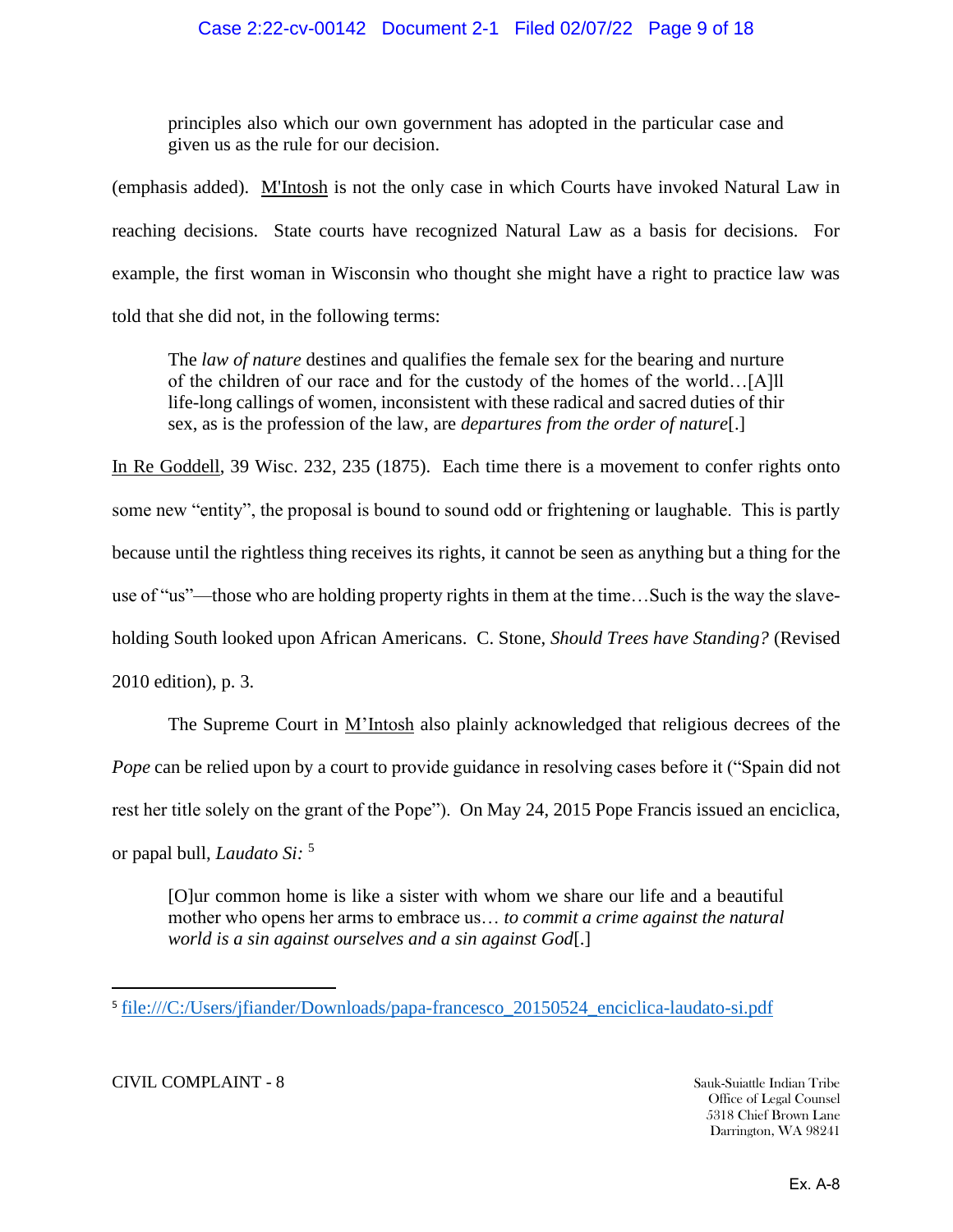principles also which our own government has adopted in the particular case and given us as the rule for our decision.

(emphasis added). M'Intosh is not the only case in which Courts have invoked Natural Law in reaching decisions. State courts have recognized Natural Law as a basis for decisions. For example, the first woman in Wisconsin who thought she might have a right to practice law was told that she did not, in the following terms:

The *law of nature* destines and qualifies the female sex for the bearing and nurture of the children of our race and for the custody of the homes of the world…[A]ll life-long callings of women, inconsistent with these radical and sacred duties of thir sex, as is the profession of the law, are *departures from the order of nature*[.]

In Re Goddell, 39 Wisc. 232, 235 (1875). Each time there is a movement to confer rights onto some new "entity", the proposal is bound to sound odd or frightening or laughable. This is partly because until the rightless thing receives its rights, it cannot be seen as anything but a thing for the use of "us"—those who are holding property rights in them at the time…Such is the way the slaveholding South looked upon African Americans. C. Stone, *Should Trees have Standing?* (Revised 2010 edition), p. 3.

The Supreme Court in M'Intosh also plainly acknowledged that religious decrees of the *Pope* can be relied upon by a court to provide guidance in resolving cases before it ("Spain did not rest her title solely on the grant of the Pope"). On May 24, 2015 Pope Francis issued an enciclica, or papal bull, *Laudato Si:* <sup>5</sup>

[O]ur common home is like a sister with whom we share our life and a beautiful mother who opens her arms to embrace us… *to commit a crime against the natural world is a sin against ourselves and a sin against God*[.]

CIVIL COMPLAINT - 8 Sauk-Suiattle Indian Tribe

<sup>&</sup>lt;sup>5</sup>[file:///C:/Users/jfiander/Downloads/papa-francesco\\_20150524\\_enciclica-laudato-si.pdf](file:///C:/Users/jfiander/Downloads/papa-francesco_20150524_enciclica-laudato-si.pdf)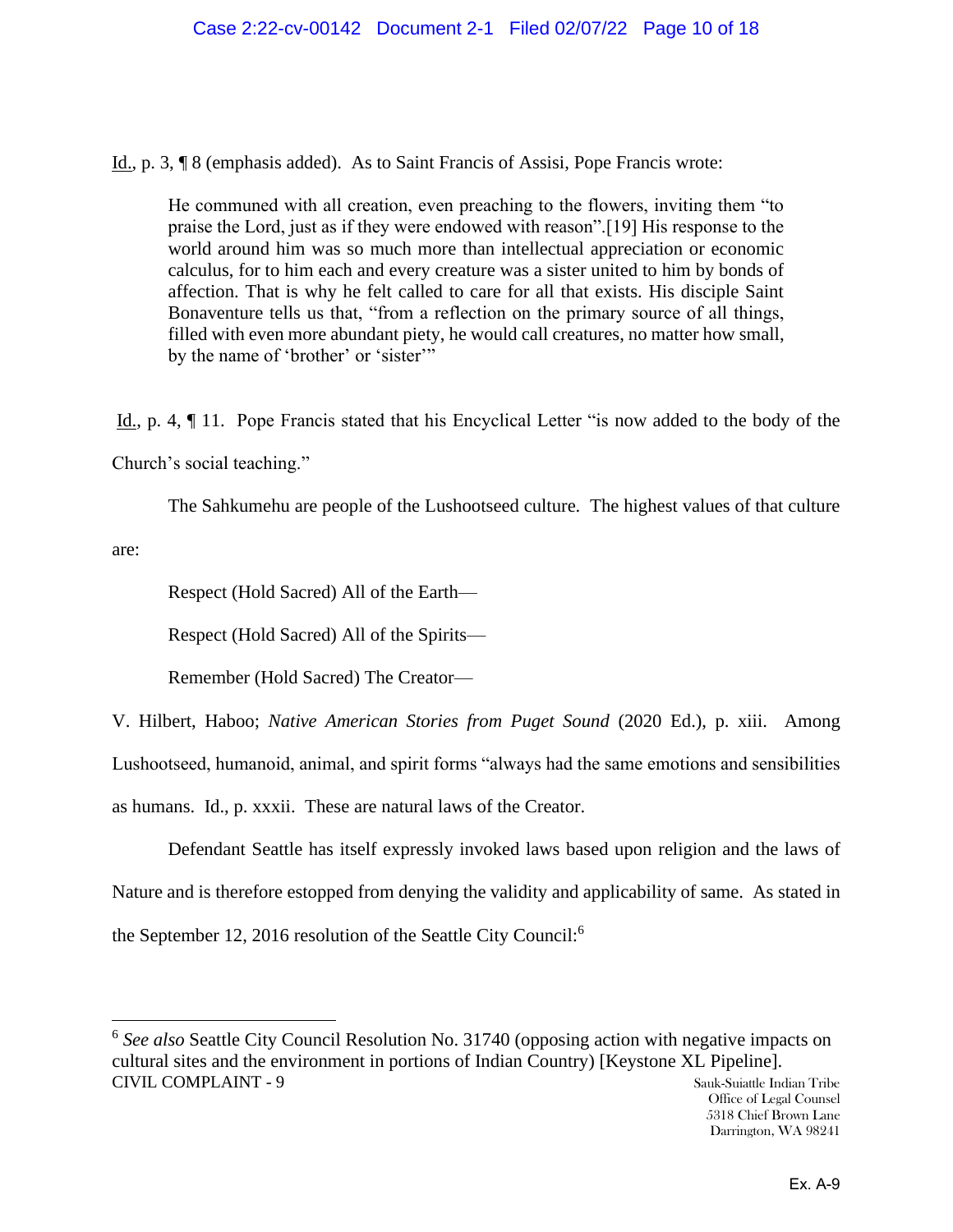Id., p. 3, ¶ 8 (emphasis added). As to Saint Francis of Assisi, Pope Francis wrote:

He communed with all creation, even preaching to the flowers, inviting them "to praise the Lord, just as if they were endowed with reason".[19] His response to the world around him was so much more than intellectual appreciation or economic calculus, for to him each and every creature was a sister united to him by bonds of affection. That is why he felt called to care for all that exists. His disciple Saint Bonaventure tells us that, "from a reflection on the primary source of all things, filled with even more abundant piety, he would call creatures, no matter how small, by the name of 'brother' or 'sister'"

Id., p. 4, ¶ 11. Pope Francis stated that his Encyclical Letter "is now added to the body of the Church's social teaching."

The Sahkumehu are people of the Lushootseed culture. The highest values of that culture

are:

Respect (Hold Sacred) All of the Earth—

Respect (Hold Sacred) All of the Spirits—

Remember (Hold Sacred) The Creator—

V. Hilbert, Haboo; *Native American Stories from Puget Sound* (2020 Ed.), p. xiii. Among Lushootseed, humanoid, animal, and spirit forms "always had the same emotions and sensibilities as humans. Id., p. xxxii. These are natural laws of the Creator.

Defendant Seattle has itself expressly invoked laws based upon religion and the laws of Nature and is therefore estopped from denying the validity and applicability of same. As stated in the September 12, 2016 resolution of the Seattle City Council:<sup>6</sup>

CIVIL COMPLAINT - 9 Sauk-Suiattle Indian Tribe <sup>6</sup> See also Seattle City Council Resolution No. 31740 (opposing action with negative impacts on cultural sites and the environment in portions of Indian Country) [Keystone XL Pipeline].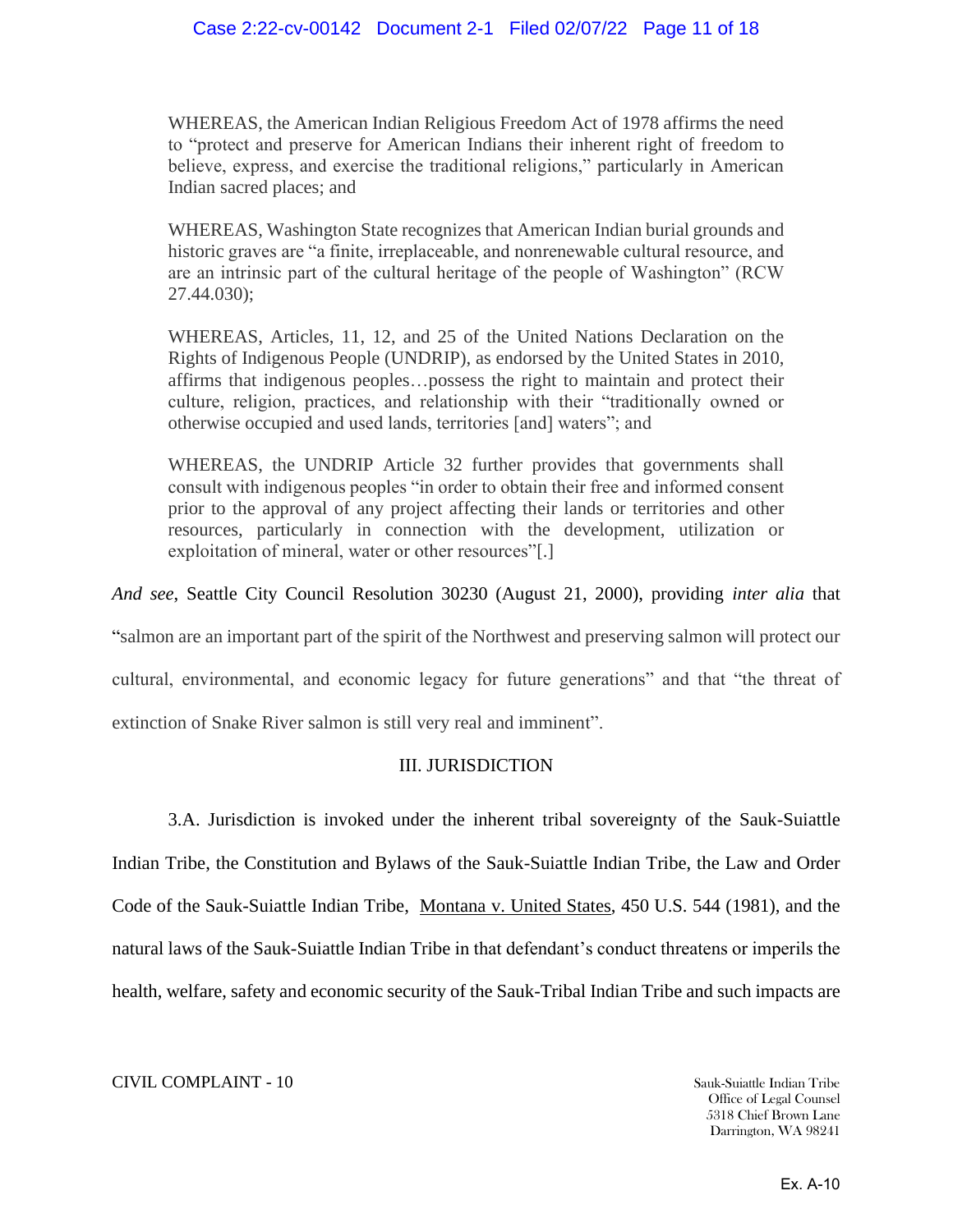WHEREAS, the American Indian Religious Freedom Act of 1978 affirms the need to "protect and preserve for American Indians their inherent right of freedom to believe, express, and exercise the traditional religions," particularly in American Indian sacred places; and

WHEREAS, Washington State recognizes that American Indian burial grounds and historic graves are "a finite, irreplaceable, and nonrenewable cultural resource, and are an intrinsic part of the cultural heritage of the people of Washington" (RCW 27.44.030);

WHEREAS, Articles, 11, 12, and 25 of the United Nations Declaration on the Rights of Indigenous People (UNDRIP), as endorsed by the United States in 2010, affirms that indigenous peoples…possess the right to maintain and protect their culture, religion, practices, and relationship with their "traditionally owned or otherwise occupied and used lands, territories [and] waters"; and

WHEREAS, the UNDRIP Article 32 further provides that governments shall consult with indigenous peoples "in order to obtain their free and informed consent prior to the approval of any project affecting their lands or territories and other resources, particularly in connection with the development, utilization or exploitation of mineral, water or other resources"[.]

*And see*, Seattle City Council Resolution 30230 (August 21, 2000), providing *inter alia* that

"salmon are an important part of the spirit of the Northwest and preserving salmon will protect our

cultural, environmental, and economic legacy for future generations" and that "the threat of

extinction of Snake River salmon is still very real and imminent".

## III. JURISDICTION

3.A. Jurisdiction is invoked under the inherent tribal sovereignty of the Sauk-Suiattle Indian Tribe, the Constitution and Bylaws of the Sauk-Suiattle Indian Tribe, the Law and Order Code of the Sauk-Suiattle Indian Tribe, Montana v. United States, 450 U.S. 544 (1981), and the natural laws of the Sauk-Suiattle Indian Tribe in that defendant's conduct threatens or imperils the health, welfare, safety and economic security of the Sauk-Tribal Indian Tribe and such impacts are

#### CIVIL COMPLAINT - 10 Sauk-Suiattle Indian Tribe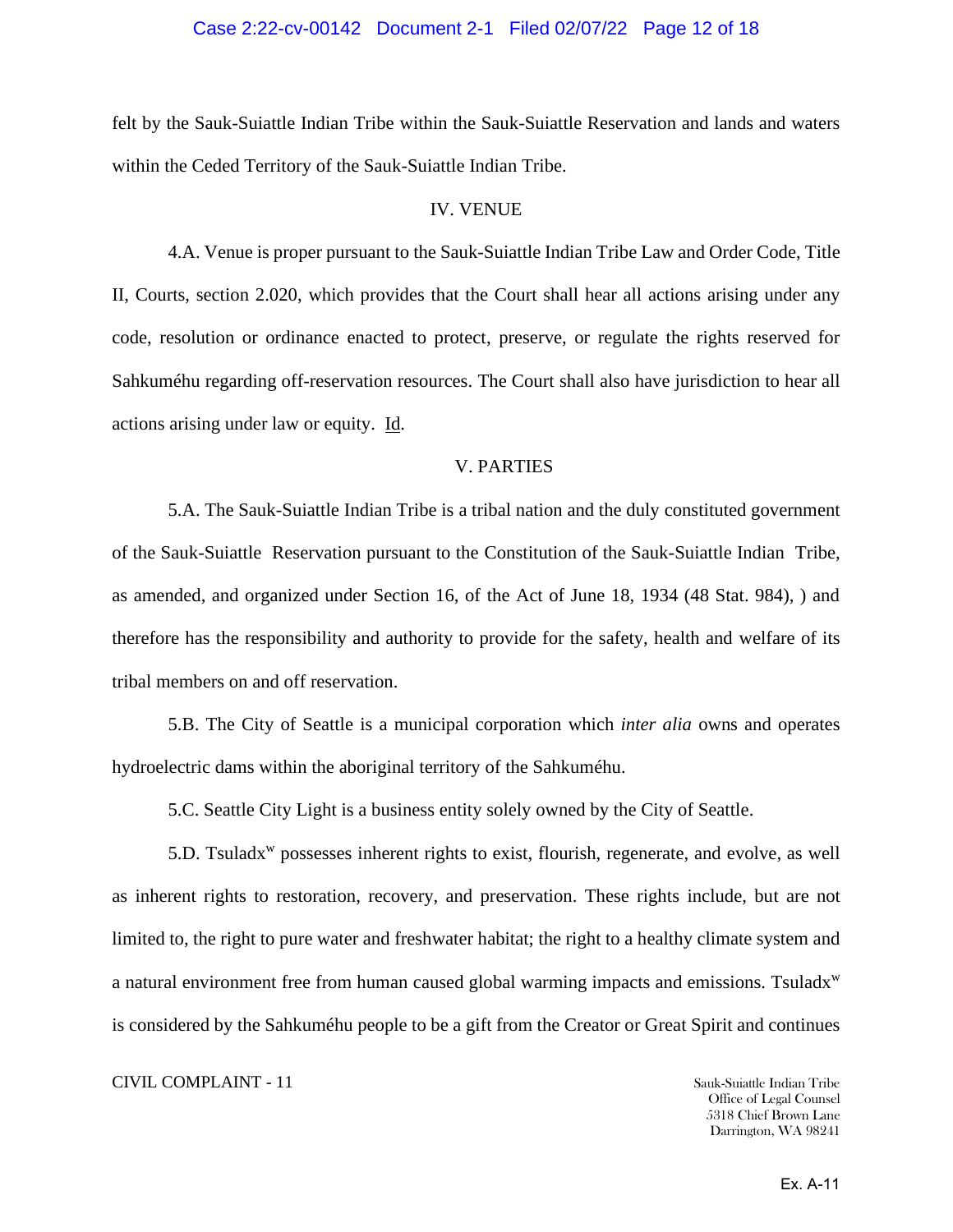#### Case 2:22-cv-00142 Document 2-1 Filed 02/07/22 Page 12 of 18

felt by the Sauk-Suiattle Indian Tribe within the Sauk-Suiattle Reservation and lands and waters within the Ceded Territory of the Sauk-Suiattle Indian Tribe.

#### IV. VENUE

4.A. Venue is proper pursuant to the Sauk-Suiattle Indian Tribe Law and Order Code, Title II, Courts, section 2.020, which provides that the Court shall hear all actions arising under any code, resolution or ordinance enacted to protect, preserve, or regulate the rights reserved for Sahkuméhu regarding off-reservation resources. The Court shall also have jurisdiction to hear all actions arising under law or equity. Id.

#### V. PARTIES

5.A. The Sauk-Suiattle Indian Tribe is a tribal nation and the duly constituted government of the Sauk-Suiattle Reservation pursuant to the Constitution of the Sauk-Suiattle Indian Tribe, as amended, and organized under Section 16, of the Act of June 18, 1934 (48 Stat. 984), ) and therefore has the responsibility and authority to provide for the safety, health and welfare of its tribal members on and off reservation.

5.B. The City of Seattle is a municipal corporation which *inter alia* owns and operates hydroelectric dams within the aboriginal territory of the Sahkuméhu.

5.C. Seattle City Light is a business entity solely owned by the City of Seattle.

5.D. Tsuladx<sup>w</sup> possesses inherent rights to exist, flourish, regenerate, and evolve, as well as inherent rights to restoration, recovery, and preservation. These rights include, but are not limited to, the right to pure water and freshwater habitat; the right to a healthy climate system and a natural environment free from human caused global warming impacts and emissions. Tsuladx<sup>w</sup> is considered by the Sahkuméhu people to be a gift from the Creator or Great Spirit and continues

#### **CIVIL COMPLAINT - 11** Sauk-Suiattle Indian Tribe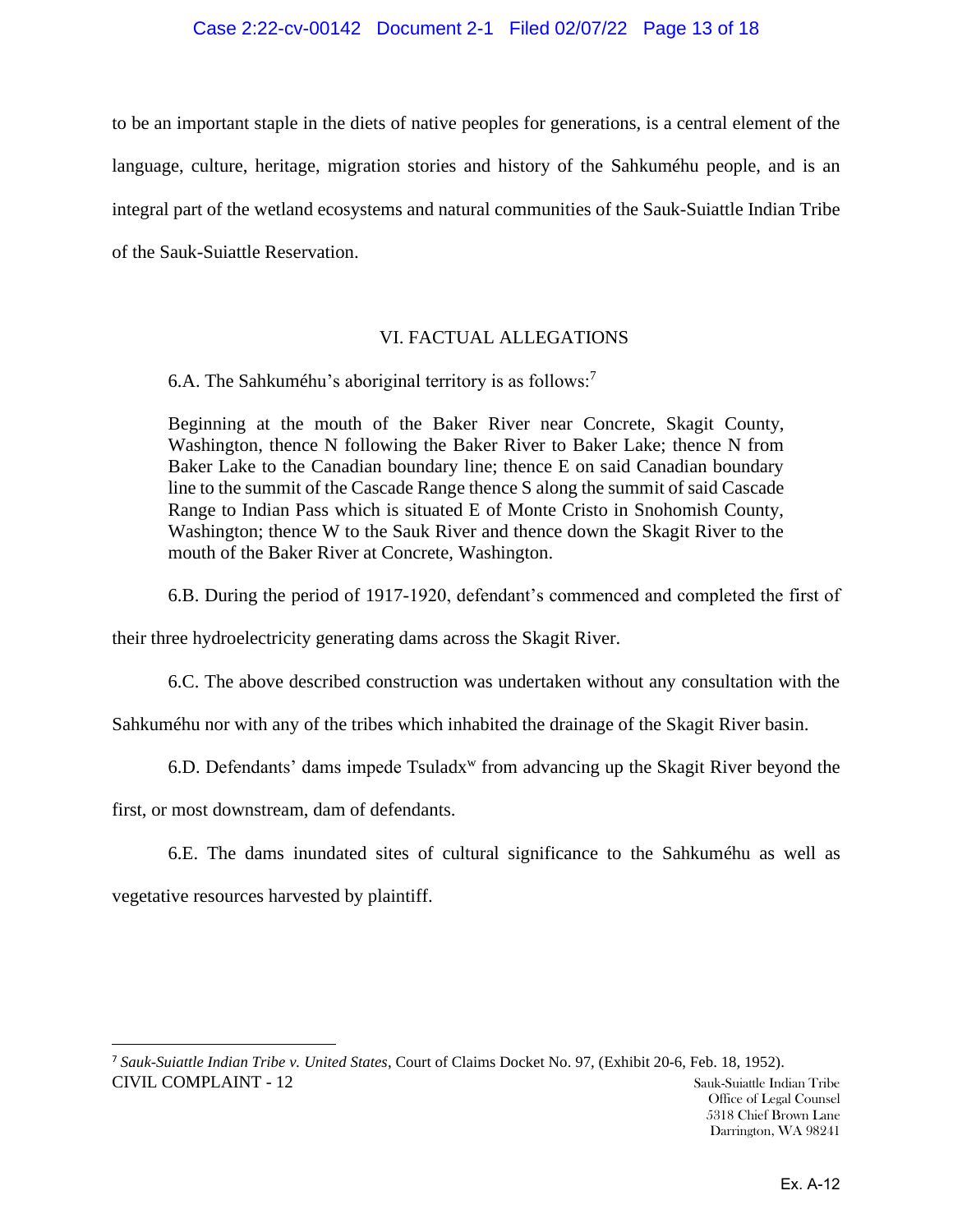## Case 2:22-cv-00142 Document 2-1 Filed 02/07/22 Page 13 of 18

to be an important staple in the diets of native peoples for generations, is a central element of the language, culture, heritage, migration stories and history of the Sahkuméhu people, and is an integral part of the wetland ecosystems and natural communities of the Sauk-Suiattle Indian Tribe of the Sauk-Suiattle Reservation.

## VI. FACTUAL ALLEGATIONS

6.A. The Sahkuméhu's aboriginal territory is as follows:<sup>7</sup>

Beginning at the mouth of the Baker River near Concrete, Skagit County, Washington, thence N following the Baker River to Baker Lake; thence N from Baker Lake to the Canadian boundary line; thence E on said Canadian boundary line to the summit of the Cascade Range thence S along the summit of said Cascade Range to Indian Pass which is situated E of Monte Cristo in Snohomish County, Washington; thence W to the Sauk River and thence down the Skagit River to the mouth of the Baker River at Concrete, Washington.

6.B. During the period of 1917-1920, defendant's commenced and completed the first of

their three hydroelectricity generating dams across the Skagit River.

6.C. The above described construction was undertaken without any consultation with the

Sahkuméhu nor with any of the tribes which inhabited the drainage of the Skagit River basin.

6.D. Defendants' dams impede Tsuladx<sup>w</sup> from advancing up the Skagit River beyond the

first, or most downstream, dam of defendants.

6.E. The dams inundated sites of cultural significance to the Sahkuméhu as well as vegetative resources harvested by plaintiff.

CIVIL COMPLAINT - 12 Sauk-Suiattle Indian Tribe <sup>7</sup> *Sauk-Suiattle Indian Tribe v. United States*, Court of Claims Docket No. 97, (Exhibit 20-6, Feb. 18, 1952).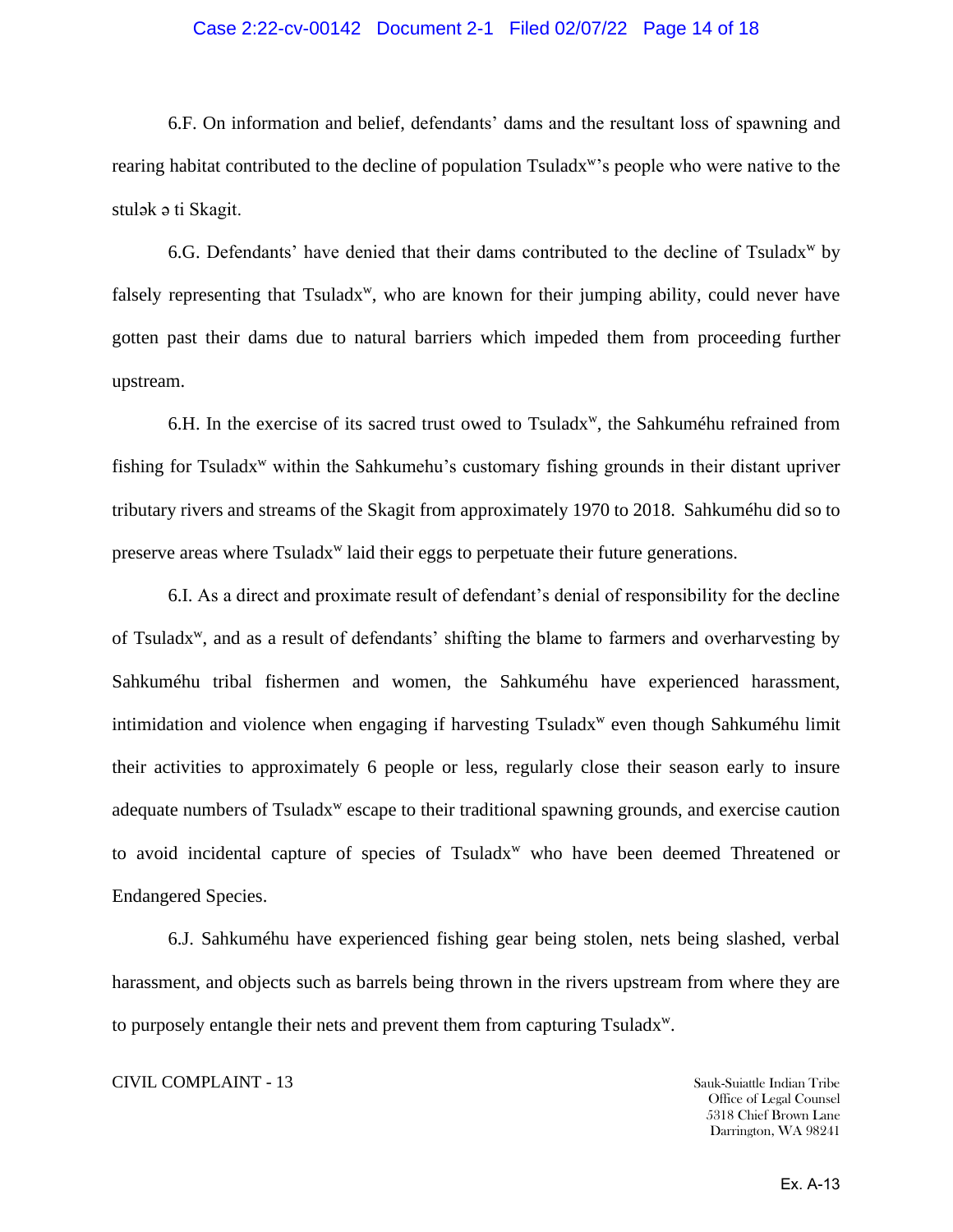#### Case 2:22-cv-00142 Document 2-1 Filed 02/07/22 Page 14 of 18

6.F. On information and belief, defendants' dams and the resultant loss of spawning and rearing habitat contributed to the decline of population Tsuladx<sup>w</sup>'s people who were native to the stulak a ti Skagit.

6.G. Defendants' have denied that their dams contributed to the decline of  $Tsuladx<sup>w</sup>$  by falsely representing that Tsuladx<sup>w</sup>, who are known for their jumping ability, could never have gotten past their dams due to natural barriers which impeded them from proceeding further upstream.

6.H. In the exercise of its sacred trust owed to Tsuladx<sup>w</sup>, the Sahkuméhu refrained from fishing for Tsuladx<sup>w</sup> within the Sahkumehu's customary fishing grounds in their distant upriver tributary rivers and streams of the Skagit from approximately 1970 to 2018. Sahkuméhu did so to preserve areas where Tsuladx<sup>w</sup> laid their eggs to perpetuate their future generations.

6.I. As a direct and proximate result of defendant's denial of responsibility for the decline of Tsuladx<sup>w</sup>, and as a result of defendants' shifting the blame to farmers and overharvesting by Sahkuméhu tribal fishermen and women, the Sahkuméhu have experienced harassment, intimidation and violence when engaging if harvesting Tsuladx<sup>w</sup> even though Sahkuméhu limit their activities to approximately 6 people or less, regularly close their season early to insure adequate numbers of Tsuladx<sup>w</sup> escape to their traditional spawning grounds, and exercise caution to avoid incidental capture of species of  $Tsuladx<sup>w</sup>$  who have been deemed Threatened or Endangered Species.

6.J. Sahkuméhu have experienced fishing gear being stolen, nets being slashed, verbal harassment, and objects such as barrels being thrown in the rivers upstream from where they are to purposely entangle their nets and prevent them from capturing  $Tsuladx^w$ .

#### CIVIL COMPLAINT - 13 Sauk-Suiattle Indian Tribe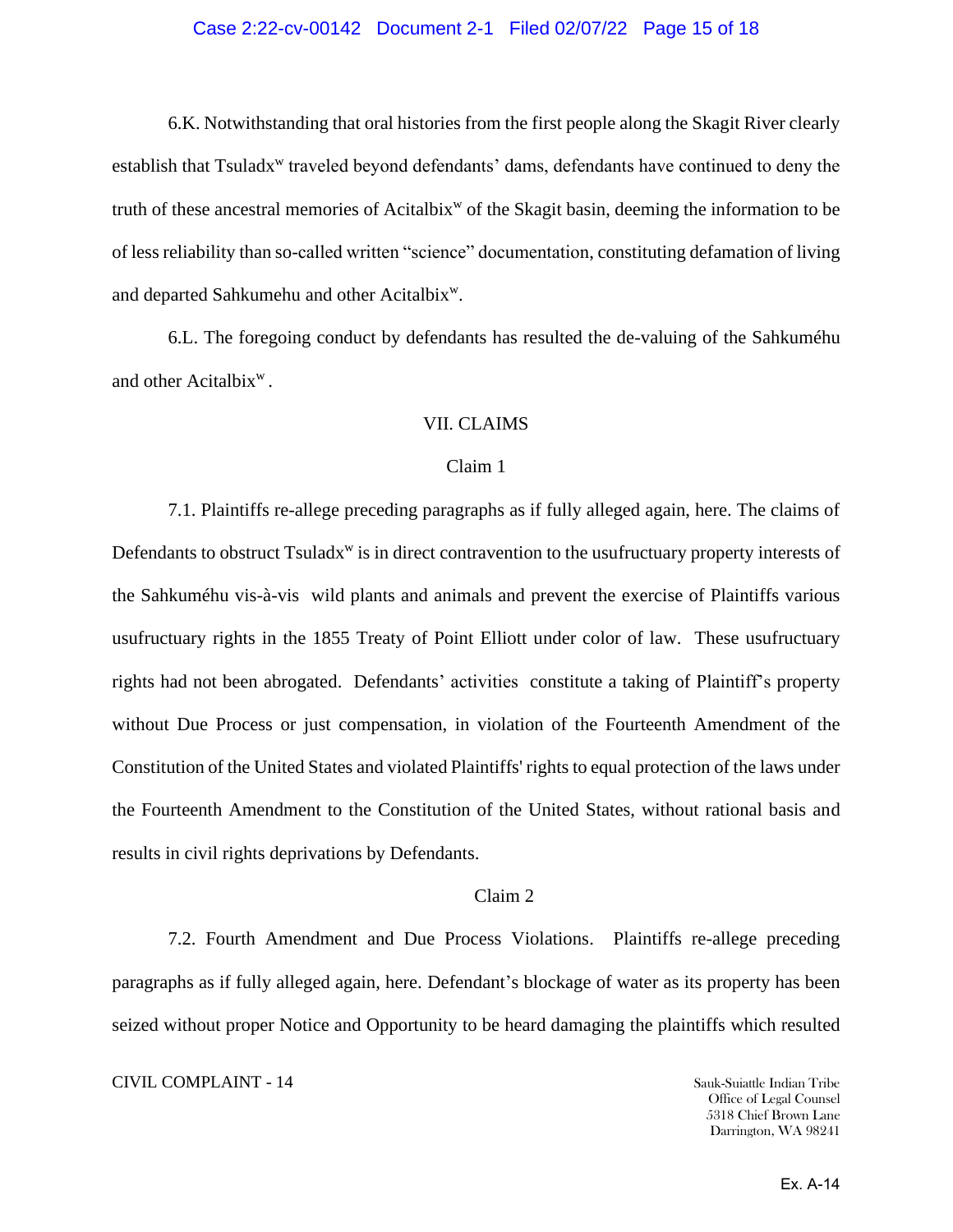### Case 2:22-cv-00142 Document 2-1 Filed 02/07/22 Page 15 of 18

6.K. Notwithstanding that oral histories from the first people along the Skagit River clearly establish that Tsuladx<sup>w</sup> traveled beyond defendants' dams, defendants have continued to deny the truth of these ancestral memories of Acitalbix<sup>w</sup> of the Skagit basin, deeming the information to be of less reliability than so-called written "science" documentation, constituting defamation of living and departed Sahkumehu and other Acitalbix<sup>w</sup>.

6.L. The foregoing conduct by defendants has resulted the de-valuing of the Sahkuméhu and other Acitalbix<sup>w</sup>.

#### VII. CLAIMS

#### Claim 1

7.1. Plaintiffs re-allege preceding paragraphs as if fully alleged again, here. The claims of Defendants to obstruct Tsuladx<sup>w</sup> is in direct contravention to the usufructuary property interests of the Sahkuméhu vis-à-vis wild plants and animals and prevent the exercise of Plaintiffs various usufructuary rights in the 1855 Treaty of Point Elliott under color of law. These usufructuary rights had not been abrogated. Defendants' activities constitute a taking of Plaintiff's property without Due Process or just compensation, in violation of the Fourteenth Amendment of the Constitution of the United States and violated Plaintiffs' rights to equal protection of the laws under the Fourteenth Amendment to the Constitution of the United States, without rational basis and results in civil rights deprivations by Defendants.

#### Claim 2

7.2. Fourth Amendment and Due Process Violations. Plaintiffs re-allege preceding paragraphs as if fully alleged again, here. Defendant's blockage of water as its property has been seized without proper Notice and Opportunity to be heard damaging the plaintiffs which resulted

#### **CIVIL COMPLAINT - 14** Sauk-Suiattle Indian Tribe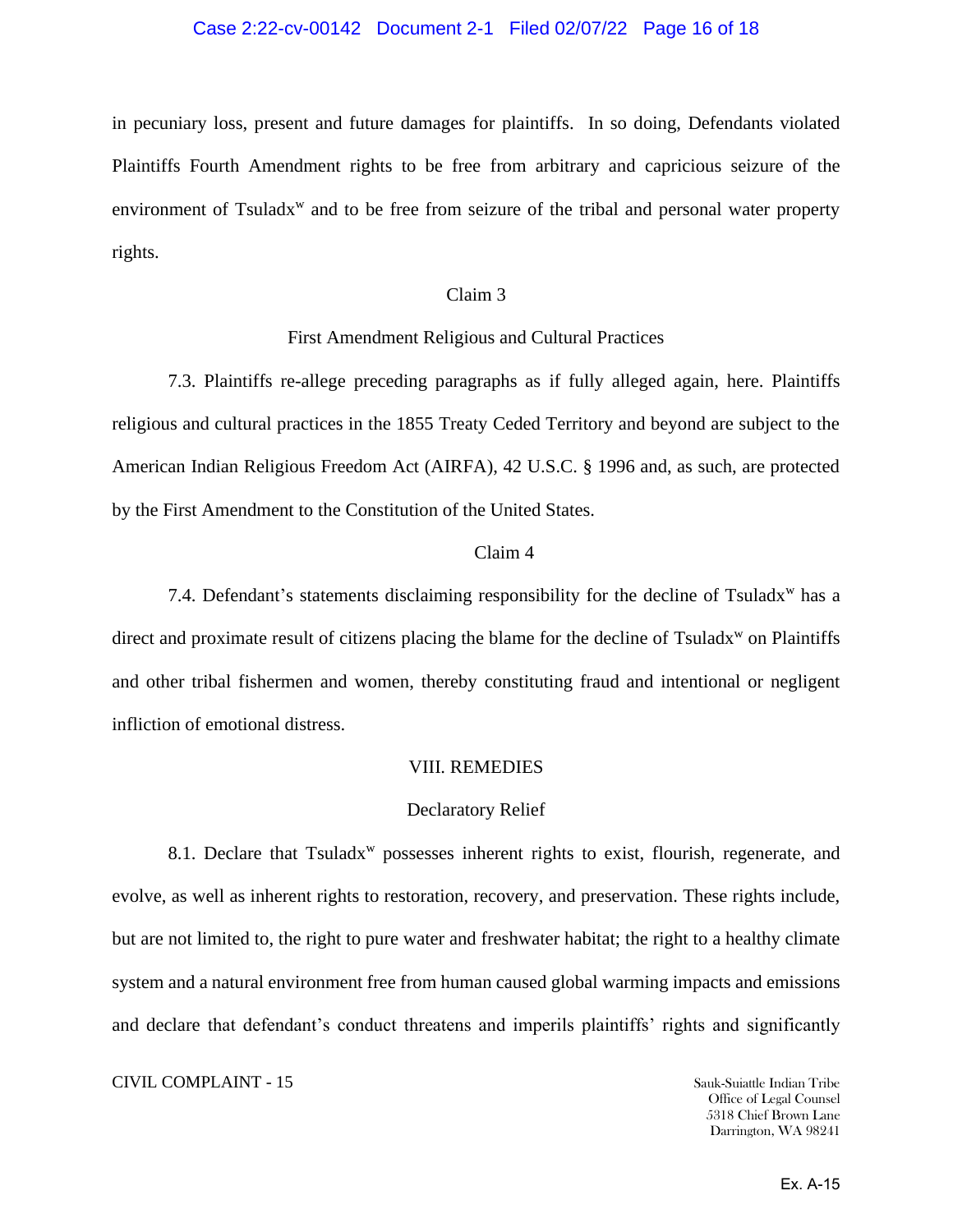### Case 2:22-cv-00142 Document 2-1 Filed 02/07/22 Page 16 of 18

in pecuniary loss, present and future damages for plaintiffs. In so doing, Defendants violated Plaintiffs Fourth Amendment rights to be free from arbitrary and capricious seizure of the environment of Tsuladx<sup>w</sup> and to be free from seizure of the tribal and personal water property rights.

#### Claim 3

#### First Amendment Religious and Cultural Practices

7.3. Plaintiffs re-allege preceding paragraphs as if fully alleged again, here. Plaintiffs religious and cultural practices in the 1855 Treaty Ceded Territory and beyond are subject to the American Indian Religious Freedom Act (AIRFA), 42 U.S.C. § 1996 and, as such, are protected by the First Amendment to the Constitution of the United States.

#### Claim 4

7.4. Defendant's statements disclaiming responsibility for the decline of Tsuladx<sup>w</sup> has a direct and proximate result of citizens placing the blame for the decline of Tsuladx<sup>w</sup> on Plaintiffs and other tribal fishermen and women, thereby constituting fraud and intentional or negligent infliction of emotional distress.

#### VIII. REMEDIES

#### Declaratory Relief

8.1. Declare that Tsuladx<sup>w</sup> possesses inherent rights to exist, flourish, regenerate, and evolve, as well as inherent rights to restoration, recovery, and preservation. These rights include, but are not limited to, the right to pure water and freshwater habitat; the right to a healthy climate system and a natural environment free from human caused global warming impacts and emissions and declare that defendant's conduct threatens and imperils plaintiffs' rights and significantly

## **CIVIL COMPLAINT - 15** Sauk-Suiattle Indian Tribe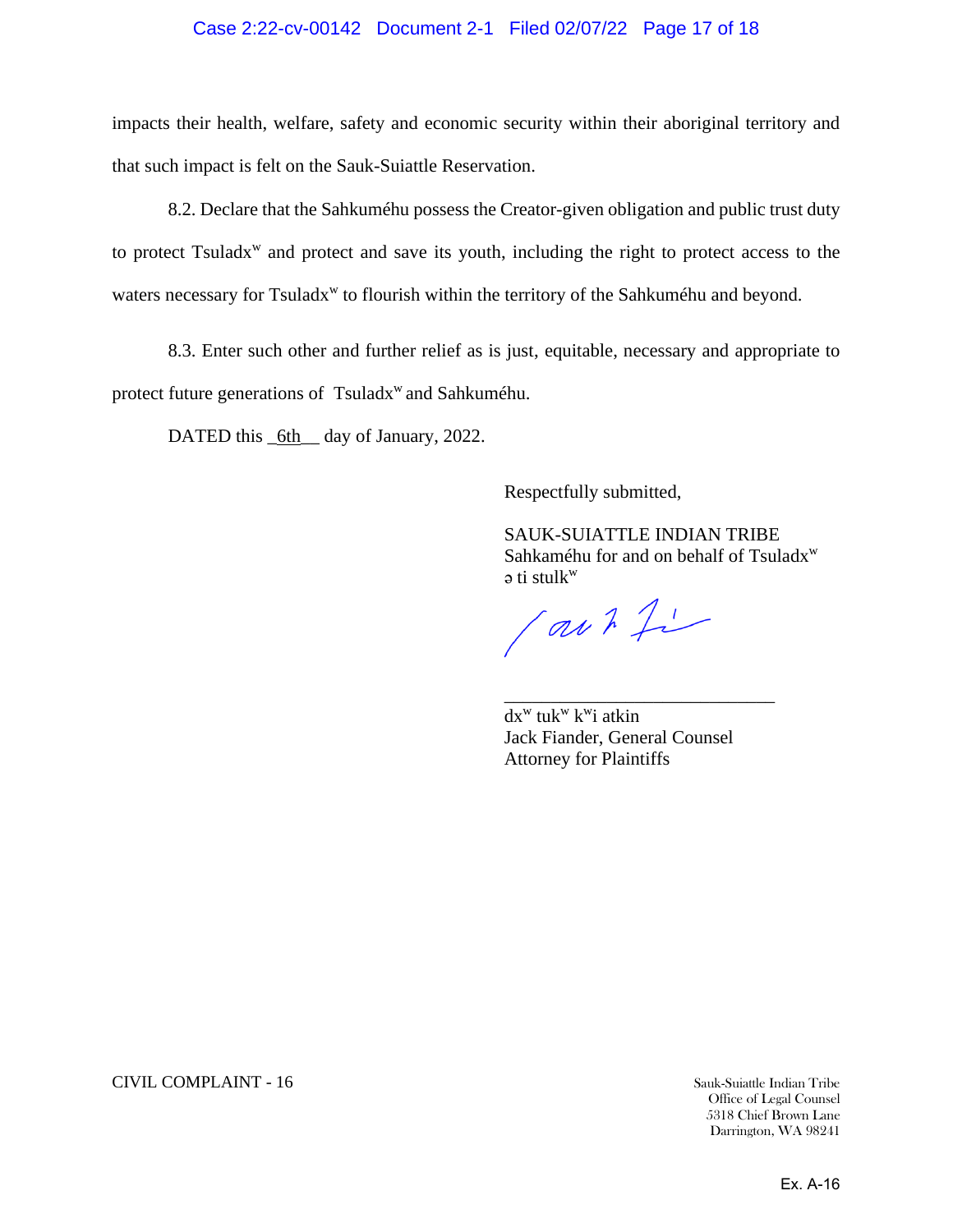## Case 2:22-cv-00142 Document 2-1 Filed 02/07/22 Page 17 of 18

impacts their health, welfare, safety and economic security within their aboriginal territory and that such impact is felt on the Sauk-Suiattle Reservation.

8.2. Declare that the Sahkuméhu possess the Creator-given obligation and public trust duty to protect Tsuladx<sup>w</sup> and protect and save its youth, including the right to protect access to the waters necessary for Tsuladx<sup>w</sup> to flourish within the territory of the Sahkuméhu and beyond.

8.3. Enter such other and further relief as is just, equitable, necessary and appropriate to protect future generations of Tsuladx<sup>w</sup> and Sahkuméhu.

DATED this \_6th\_ day of January, 2022.

Respectfully submitted,

SAUK-SUIATTLE INDIAN TRIBE Sahkaméhu for and on behalf of Tsuladx<sup>w</sup> ǝ ti stulk w

(aut fi

dx<sup>w</sup> tuk<sup>w</sup> k<sup>w</sup>i atkin Jack Fiander, General Counsel Attorney for Plaintiffs

\_\_\_\_\_\_\_\_\_\_\_\_\_\_\_\_\_\_\_\_\_\_\_\_\_\_\_\_\_

**CIVIL COMPLAINT - 16** Sauk-Suiattle Indian Tribe